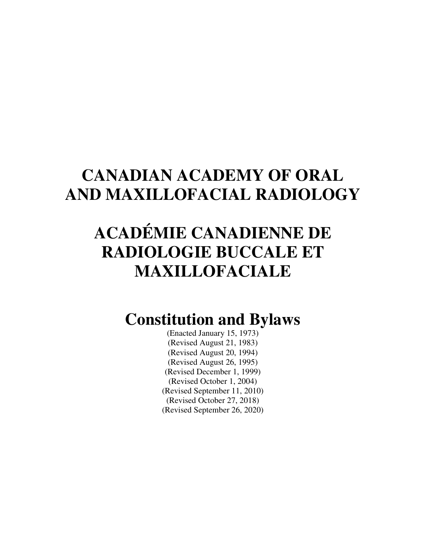## **CANADIAN ACADEMY OF ORAL AND MAXILLOFACIAL RADIOLOGY**

## **ACADÉMIE CANADIENNE DE RADIOLOGIE BUCCALE ET MAXILLOFACIALE**

### **Constitution and Bylaws**

(Enacted January 15, 1973) (Revised August 21, 1983) (Revised August 20, 1994) (Revised August 26, 1995) (Revised December 1, 1999) (Revised October 1, 2004) (Revised September 11, 2010) (Revised October 27, 2018) (Revised September 26, 2020)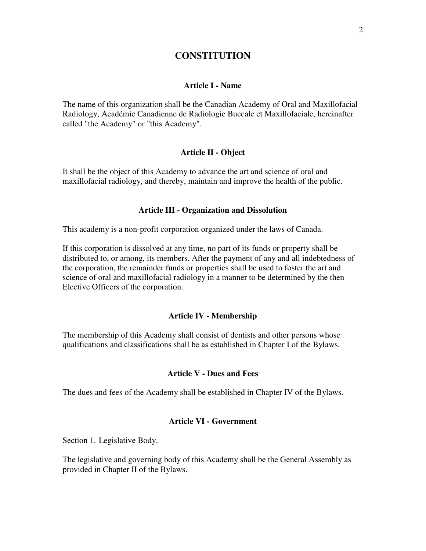#### **CONSTITUTION**

#### **Article I - Name**

The name of this organization shall be the Canadian Academy of Oral and Maxillofacial Radiology, Académie Canadienne de Radiologie Buccale et Maxillofaciale, hereinafter called "the Academy" or "this Academy".

#### **Article II - Object**

It shall be the object of this Academy to advance the art and science of oral and maxillofacial radiology, and thereby, maintain and improve the health of the public.

#### **Article III - Organization and Dissolution**

This academy is a non-profit corporation organized under the laws of Canada.

If this corporation is dissolved at any time, no part of its funds or property shall be distributed to, or among, its members. After the payment of any and all indebtedness of the corporation, the remainder funds or properties shall be used to foster the art and science of oral and maxillofacial radiology in a manner to be determined by the then Elective Officers of the corporation.

#### **Article IV - Membership**

The membership of this Academy shall consist of dentists and other persons whose qualifications and classifications shall be as established in Chapter I of the Bylaws.

#### **Article V - Dues and Fees**

The dues and fees of the Academy shall be established in Chapter IV of the Bylaws.

#### **Article VI - Government**

Section 1. Legislative Body.

The legislative and governing body of this Academy shall be the General Assembly as provided in Chapter II of the Bylaws.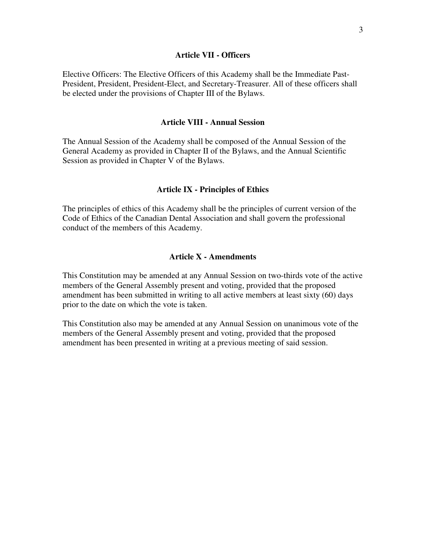#### **Article VII - Officers**

Elective Officers: The Elective Officers of this Academy shall be the Immediate Past-President, President, President-Elect, and Secretary-Treasurer. All of these officers shall be elected under the provisions of Chapter III of the Bylaws.

#### **Article VIII - Annual Session**

The Annual Session of the Academy shall be composed of the Annual Session of the General Academy as provided in Chapter II of the Bylaws, and the Annual Scientific Session as provided in Chapter V of the Bylaws.

#### **Article IX - Principles of Ethics**

The principles of ethics of this Academy shall be the principles of current version of the Code of Ethics of the Canadian Dental Association and shall govern the professional conduct of the members of this Academy.

#### **Article X - Amendments**

This Constitution may be amended at any Annual Session on two-thirds vote of the active members of the General Assembly present and voting, provided that the proposed amendment has been submitted in writing to all active members at least sixty (60) days prior to the date on which the vote is taken.

This Constitution also may be amended at any Annual Session on unanimous vote of the members of the General Assembly present and voting, provided that the proposed amendment has been presented in writing at a previous meeting of said session.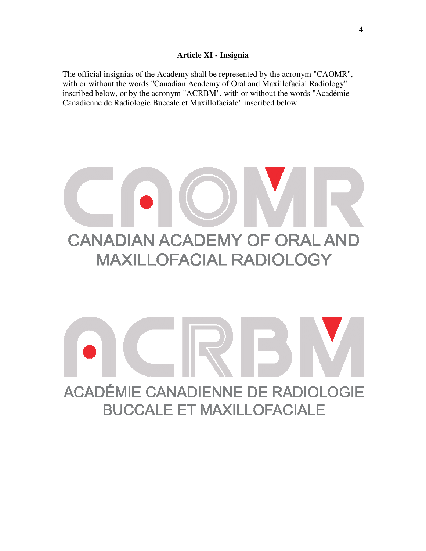#### **Article XI - Insignia**

The official insignias of the Academy shall be represented by the acronym "CAOMR", with or without the words "Canadian Academy of Oral and Maxillofacial Radiology" with or without the words "Canadian Academy of Oral and Maxillofacial Radiology"<br>inscribed below, or by the acronym "ACRBM", with or without the words "Académie Canadienne de Radiologie Buccale Buccale et Maxillofaciale" inscribed below.

## **CANADIAN ACADEMY OF ORAL AND MAXILLOFACIAL RADIOLOGY**

# ACADÉMIE CANADIENNE DE RADIOLOGIE **BUCCALE ET MAXILLOFACIALE**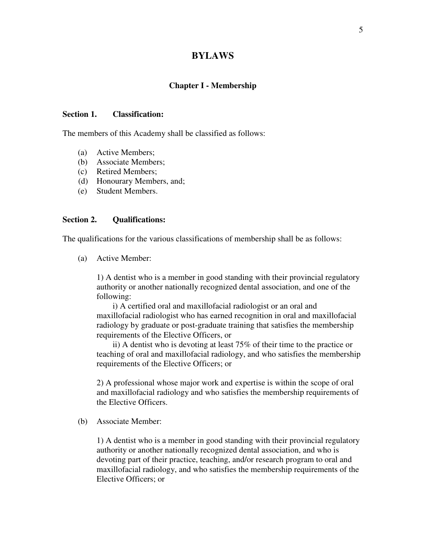#### **BYLAWS**

#### **Chapter I - Membership**

#### **Section 1. Classification:**

The members of this Academy shall be classified as follows:

- (a) Active Members;
- (b) Associate Members;
- (c) Retired Members;
- (d) Honourary Members, and;
- (e) Student Members.

#### **Section 2. Qualifications:**

The qualifications for the various classifications of membership shall be as follows:

(a) Active Member:

1) A dentist who is a member in good standing with their provincial regulatory authority or another nationally recognized dental association, and one of the following:

 i) A certified oral and maxillofacial radiologist or an oral and maxillofacial radiologist who has earned recognition in oral and maxillofacial radiology by graduate or post-graduate training that satisfies the membership requirements of the Elective Officers, or

 ii) A dentist who is devoting at least 75% of their time to the practice or teaching of oral and maxillofacial radiology, and who satisfies the membership requirements of the Elective Officers; or

2) A professional whose major work and expertise is within the scope of oral and maxillofacial radiology and who satisfies the membership requirements of the Elective Officers.

(b) Associate Member:

1) A dentist who is a member in good standing with their provincial regulatory authority or another nationally recognized dental association, and who is devoting part of their practice, teaching, and/or research program to oral and maxillofacial radiology, and who satisfies the membership requirements of the Elective Officers; or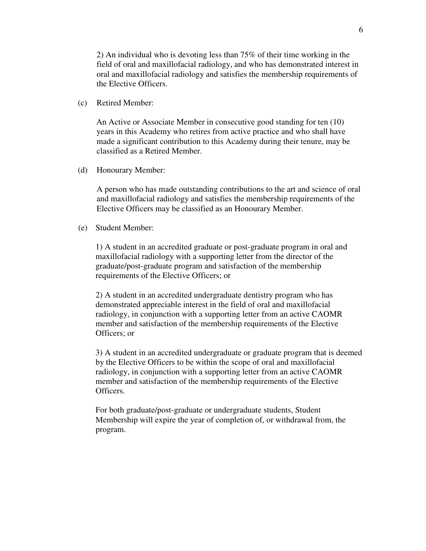2) An individual who is devoting less than 75% of their time working in the field of oral and maxillofacial radiology, and who has demonstrated interest in oral and maxillofacial radiology and satisfies the membership requirements of the Elective Officers.

(c) Retired Member:

An Active or Associate Member in consecutive good standing for ten (10) years in this Academy who retires from active practice and who shall have made a significant contribution to this Academy during their tenure, may be classified as a Retired Member.

(d) Honourary Member:

A person who has made outstanding contributions to the art and science of oral and maxillofacial radiology and satisfies the membership requirements of the Elective Officers may be classified as an Honourary Member.

(e) Student Member:

1) A student in an accredited graduate or post-graduate program in oral and maxillofacial radiology with a supporting letter from the director of the graduate/post-graduate program and satisfaction of the membership requirements of the Elective Officers; or

2) A student in an accredited undergraduate dentistry program who has demonstrated appreciable interest in the field of oral and maxillofacial radiology, in conjunction with a supporting letter from an active CAOMR member and satisfaction of the membership requirements of the Elective Officers; or

3) A student in an accredited undergraduate or graduate program that is deemed by the Elective Officers to be within the scope of oral and maxillofacial radiology, in conjunction with a supporting letter from an active CAOMR member and satisfaction of the membership requirements of the Elective Officers.

For both graduate/post-graduate or undergraduate students, Student Membership will expire the year of completion of, or withdrawal from, the program.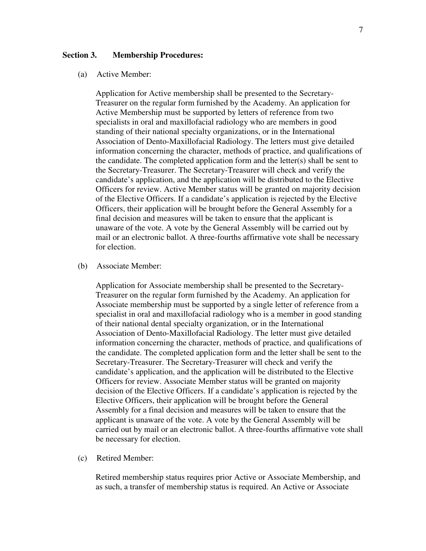#### **Section 3. Membership Procedures:**

#### (a) Active Member:

Application for Active membership shall be presented to the Secretary-Treasurer on the regular form furnished by the Academy. An application for Active Membership must be supported by letters of reference from two specialists in oral and maxillofacial radiology who are members in good standing of their national specialty organizations, or in the International Association of Dento-Maxillofacial Radiology. The letters must give detailed information concerning the character, methods of practice, and qualifications of the candidate. The completed application form and the letter(s) shall be sent to the Secretary-Treasurer. The Secretary-Treasurer will check and verify the candidate's application, and the application will be distributed to the Elective Officers for review. Active Member status will be granted on majority decision of the Elective Officers. If a candidate's application is rejected by the Elective Officers, their application will be brought before the General Assembly for a final decision and measures will be taken to ensure that the applicant is unaware of the vote. A vote by the General Assembly will be carried out by mail or an electronic ballot. A three-fourths affirmative vote shall be necessary for election.

#### (b) Associate Member:

Application for Associate membership shall be presented to the Secretary-Treasurer on the regular form furnished by the Academy. An application for Associate membership must be supported by a single letter of reference from a specialist in oral and maxillofacial radiology who is a member in good standing of their national dental specialty organization, or in the International Association of Dento-Maxillofacial Radiology. The letter must give detailed information concerning the character, methods of practice, and qualifications of the candidate. The completed application form and the letter shall be sent to the Secretary-Treasurer. The Secretary-Treasurer will check and verify the candidate's application, and the application will be distributed to the Elective Officers for review. Associate Member status will be granted on majority decision of the Elective Officers. If a candidate's application is rejected by the Elective Officers, their application will be brought before the General Assembly for a final decision and measures will be taken to ensure that the applicant is unaware of the vote. A vote by the General Assembly will be carried out by mail or an electronic ballot. A three-fourths affirmative vote shall be necessary for election.

(c) Retired Member:

Retired membership status requires prior Active or Associate Membership, and as such, a transfer of membership status is required. An Active or Associate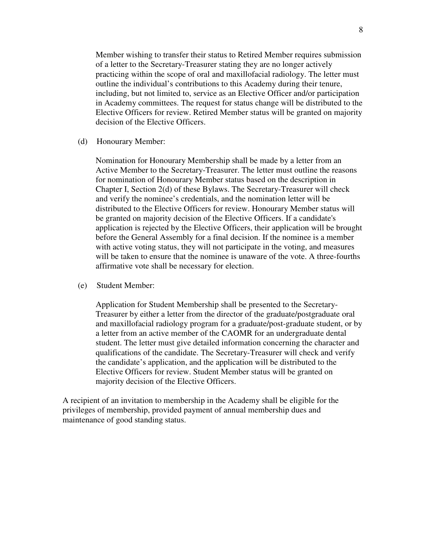Member wishing to transfer their status to Retired Member requires submission of a letter to the Secretary-Treasurer stating they are no longer actively practicing within the scope of oral and maxillofacial radiology. The letter must outline the individual's contributions to this Academy during their tenure, including, but not limited to, service as an Elective Officer and/or participation in Academy committees. The request for status change will be distributed to the Elective Officers for review. Retired Member status will be granted on majority decision of the Elective Officers.

(d) Honourary Member:

Nomination for Honourary Membership shall be made by a letter from an Active Member to the Secretary-Treasurer. The letter must outline the reasons for nomination of Honourary Member status based on the description in Chapter I, Section 2(d) of these Bylaws. The Secretary-Treasurer will check and verify the nominee's credentials, and the nomination letter will be distributed to the Elective Officers for review. Honourary Member status will be granted on majority decision of the Elective Officers. If a candidate's application is rejected by the Elective Officers, their application will be brought before the General Assembly for a final decision. If the nominee is a member with active voting status, they will not participate in the voting, and measures will be taken to ensure that the nominee is unaware of the vote. A three-fourths affirmative vote shall be necessary for election.

(e) Student Member:

Application for Student Membership shall be presented to the Secretary-Treasurer by either a letter from the director of the graduate/postgraduate oral and maxillofacial radiology program for a graduate/post-graduate student, or by a letter from an active member of the CAOMR for an undergraduate dental student. The letter must give detailed information concerning the character and qualifications of the candidate. The Secretary-Treasurer will check and verify the candidate's application, and the application will be distributed to the Elective Officers for review. Student Member status will be granted on majority decision of the Elective Officers.

A recipient of an invitation to membership in the Academy shall be eligible for the privileges of membership, provided payment of annual membership dues and maintenance of good standing status.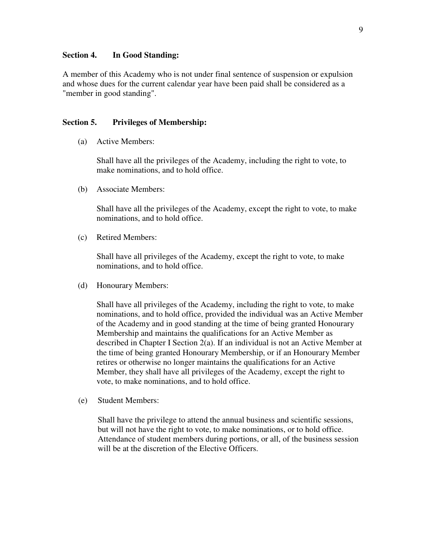#### **Section 4. In Good Standing:**

A member of this Academy who is not under final sentence of suspension or expulsion and whose dues for the current calendar year have been paid shall be considered as a "member in good standing".

#### **Section 5. Privileges of Membership:**

(a) Active Members:

Shall have all the privileges of the Academy, including the right to vote, to make nominations, and to hold office.

(b) Associate Members:

Shall have all the privileges of the Academy, except the right to vote, to make nominations, and to hold office.

(c) Retired Members:

Shall have all privileges of the Academy, except the right to vote, to make nominations, and to hold office.

(d) Honourary Members:

Shall have all privileges of the Academy, including the right to vote, to make nominations, and to hold office, provided the individual was an Active Member of the Academy and in good standing at the time of being granted Honourary Membership and maintains the qualifications for an Active Member as described in Chapter I Section 2(a). If an individual is not an Active Member at the time of being granted Honourary Membership, or if an Honourary Member retires or otherwise no longer maintains the qualifications for an Active Member, they shall have all privileges of the Academy, except the right to vote, to make nominations, and to hold office.

(e) Student Members:

Shall have the privilege to attend the annual business and scientific sessions, but will not have the right to vote, to make nominations, or to hold office. Attendance of student members during portions, or all, of the business session will be at the discretion of the Elective Officers.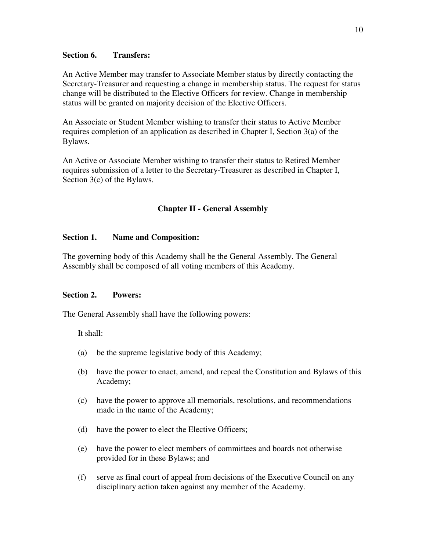#### **Section 6. Transfers:**

An Active Member may transfer to Associate Member status by directly contacting the Secretary-Treasurer and requesting a change in membership status. The request for status change will be distributed to the Elective Officers for review. Change in membership status will be granted on majority decision of the Elective Officers.

An Associate or Student Member wishing to transfer their status to Active Member requires completion of an application as described in Chapter I, Section 3(a) of the Bylaws.

An Active or Associate Member wishing to transfer their status to Retired Member requires submission of a letter to the Secretary-Treasurer as described in Chapter I, Section 3(c) of the Bylaws.

#### **Chapter II - General Assembly**

#### **Section 1. Name and Composition:**

The governing body of this Academy shall be the General Assembly. The General Assembly shall be composed of all voting members of this Academy.

#### **Section 2. Powers:**

The General Assembly shall have the following powers:

It shall:

- (a) be the supreme legislative body of this Academy;
- (b) have the power to enact, amend, and repeal the Constitution and Bylaws of this Academy;
- (c) have the power to approve all memorials, resolutions, and recommendations made in the name of the Academy;
- (d) have the power to elect the Elective Officers;
- (e) have the power to elect members of committees and boards not otherwise provided for in these Bylaws; and
- (f) serve as final court of appeal from decisions of the Executive Council on any disciplinary action taken against any member of the Academy.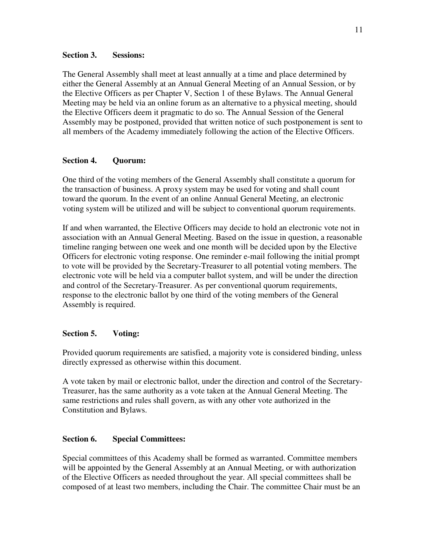#### **Section 3. Sessions:**

The General Assembly shall meet at least annually at a time and place determined by either the General Assembly at an Annual General Meeting of an Annual Session, or by the Elective Officers as per Chapter V, Section 1 of these Bylaws. The Annual General Meeting may be held via an online forum as an alternative to a physical meeting, should the Elective Officers deem it pragmatic to do so. The Annual Session of the General Assembly may be postponed, provided that written notice of such postponement is sent to all members of the Academy immediately following the action of the Elective Officers.

#### **Section 4. Quorum:**

One third of the voting members of the General Assembly shall constitute a quorum for the transaction of business. A proxy system may be used for voting and shall count toward the quorum. In the event of an online Annual General Meeting, an electronic voting system will be utilized and will be subject to conventional quorum requirements.

If and when warranted, the Elective Officers may decide to hold an electronic vote not in association with an Annual General Meeting. Based on the issue in question, a reasonable timeline ranging between one week and one month will be decided upon by the Elective Officers for electronic voting response. One reminder e-mail following the initial prompt to vote will be provided by the Secretary-Treasurer to all potential voting members. The electronic vote will be held via a computer ballot system, and will be under the direction and control of the Secretary-Treasurer. As per conventional quorum requirements, response to the electronic ballot by one third of the voting members of the General Assembly is required.

#### **Section 5. Voting:**

Provided quorum requirements are satisfied, a majority vote is considered binding, unless directly expressed as otherwise within this document.

A vote taken by mail or electronic ballot, under the direction and control of the Secretary-Treasurer, has the same authority as a vote taken at the Annual General Meeting. The same restrictions and rules shall govern, as with any other vote authorized in the Constitution and Bylaws.

#### **Section 6. Special Committees:**

Special committees of this Academy shall be formed as warranted. Committee members will be appointed by the General Assembly at an Annual Meeting, or with authorization of the Elective Officers as needed throughout the year. All special committees shall be composed of at least two members, including the Chair. The committee Chair must be an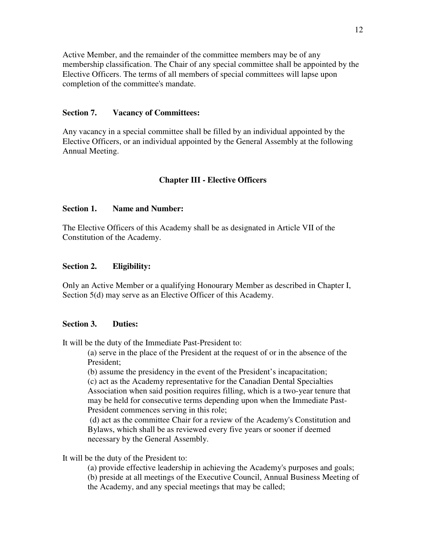Active Member, and the remainder of the committee members may be of any membership classification. The Chair of any special committee shall be appointed by the Elective Officers. The terms of all members of special committees will lapse upon completion of the committee's mandate.

#### **Section 7. Vacancy of Committees:**

Any vacancy in a special committee shall be filled by an individual appointed by the Elective Officers, or an individual appointed by the General Assembly at the following Annual Meeting.

#### **Chapter III - Elective Officers**

#### **Section 1. Name and Number:**

The Elective Officers of this Academy shall be as designated in Article VII of the Constitution of the Academy.

#### **Section 2. Eligibility:**

Only an Active Member or a qualifying Honourary Member as described in Chapter I, Section 5(d) may serve as an Elective Officer of this Academy.

#### **Section 3. Duties:**

It will be the duty of the Immediate Past-President to:

(a) serve in the place of the President at the request of or in the absence of the President;

(b) assume the presidency in the event of the President's incapacitation;

(c) act as the Academy representative for the Canadian Dental Specialties Association when said position requires filling, which is a two-year tenure that may be held for consecutive terms depending upon when the Immediate Past-President commences serving in this role;

 (d) act as the committee Chair for a review of the Academy's Constitution and Bylaws, which shall be as reviewed every five years or sooner if deemed necessary by the General Assembly.

It will be the duty of the President to:

(a) provide effective leadership in achieving the Academy's purposes and goals; (b) preside at all meetings of the Executive Council, Annual Business Meeting of the Academy, and any special meetings that may be called;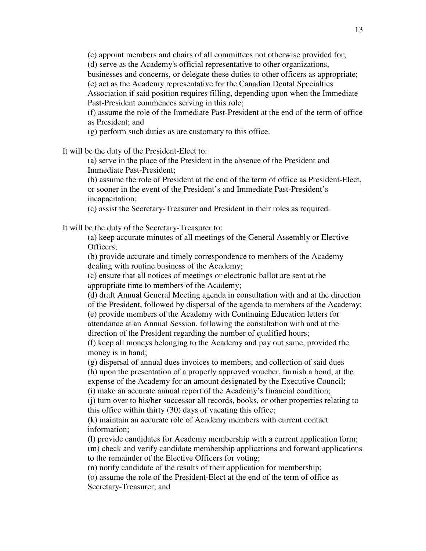(c) appoint members and chairs of all committees not otherwise provided for;

(d) serve as the Academy's official representative to other organizations,

businesses and concerns, or delegate these duties to other officers as appropriate; (e) act as the Academy representative for the Canadian Dental Specialties

Association if said position requires filling, depending upon when the Immediate Past-President commences serving in this role;

(f) assume the role of the Immediate Past-President at the end of the term of office as President; and

(g) perform such duties as are customary to this office.

It will be the duty of the President-Elect to:

(a) serve in the place of the President in the absence of the President and Immediate Past-President;

(b) assume the role of President at the end of the term of office as President-Elect, or sooner in the event of the President's and Immediate Past-President's incapacitation;

(c) assist the Secretary-Treasurer and President in their roles as required.

It will be the duty of the Secretary-Treasurer to:

(a) keep accurate minutes of all meetings of the General Assembly or Elective Officers;

(b) provide accurate and timely correspondence to members of the Academy dealing with routine business of the Academy;

(c) ensure that all notices of meetings or electronic ballot are sent at the appropriate time to members of the Academy;

(d) draft Annual General Meeting agenda in consultation with and at the direction of the President, followed by dispersal of the agenda to members of the Academy;

(e) provide members of the Academy with Continuing Education letters for attendance at an Annual Session, following the consultation with and at the direction of the President regarding the number of qualified hours;

(f) keep all moneys belonging to the Academy and pay out same, provided the money is in hand;

(g) dispersal of annual dues invoices to members, and collection of said dues (h) upon the presentation of a properly approved voucher, furnish a bond, at the

expense of the Academy for an amount designated by the Executive Council;

(i) make an accurate annual report of the Academy's financial condition;

(j) turn over to his/her successor all records, books, or other properties relating to this office within thirty (30) days of vacating this office;

(k) maintain an accurate role of Academy members with current contact information;

(l) provide candidates for Academy membership with a current application form;

(m) check and verify candidate membership applications and forward applications to the remainder of the Elective Officers for voting;

(n) notify candidate of the results of their application for membership;

(o) assume the role of the President-Elect at the end of the term of office as Secretary-Treasurer; and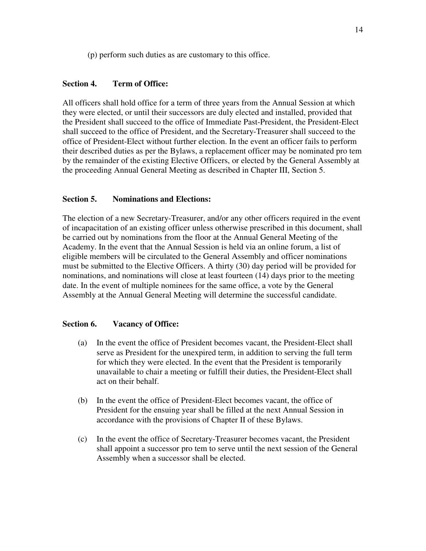(p) perform such duties as are customary to this office.

#### **Section 4. Term of Office:**

All officers shall hold office for a term of three years from the Annual Session at which they were elected, or until their successors are duly elected and installed, provided that the President shall succeed to the office of Immediate Past-President, the President-Elect shall succeed to the office of President, and the Secretary-Treasurer shall succeed to the office of President-Elect without further election. In the event an officer fails to perform their described duties as per the Bylaws, a replacement officer may be nominated pro tem by the remainder of the existing Elective Officers, or elected by the General Assembly at the proceeding Annual General Meeting as described in Chapter III, Section 5.

#### **Section 5. Nominations and Elections:**

The election of a new Secretary-Treasurer, and/or any other officers required in the event of incapacitation of an existing officer unless otherwise prescribed in this document, shall be carried out by nominations from the floor at the Annual General Meeting of the Academy. In the event that the Annual Session is held via an online forum, a list of eligible members will be circulated to the General Assembly and officer nominations must be submitted to the Elective Officers. A thirty (30) day period will be provided for nominations, and nominations will close at least fourteen (14) days prior to the meeting date. In the event of multiple nominees for the same office, a vote by the General Assembly at the Annual General Meeting will determine the successful candidate.

#### **Section 6. Vacancy of Office:**

- (a) In the event the office of President becomes vacant, the President-Elect shall serve as President for the unexpired term, in addition to serving the full term for which they were elected. In the event that the President is temporarily unavailable to chair a meeting or fulfill their duties, the President-Elect shall act on their behalf.
- (b) In the event the office of President-Elect becomes vacant, the office of President for the ensuing year shall be filled at the next Annual Session in accordance with the provisions of Chapter II of these Bylaws.
- (c) In the event the office of Secretary-Treasurer becomes vacant, the President shall appoint a successor pro tem to serve until the next session of the General Assembly when a successor shall be elected.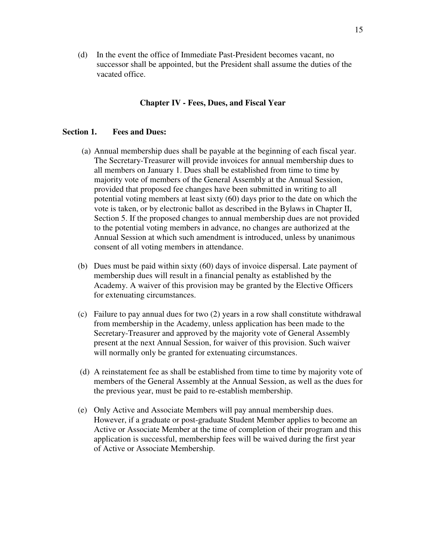(d) In the event the office of Immediate Past-President becomes vacant, no successor shall be appointed, but the President shall assume the duties of the vacated office.

#### **Chapter IV - Fees, Dues, and Fiscal Year**

#### **Section 1. Fees and Dues:**

- (a) Annual membership dues shall be payable at the beginning of each fiscal year. The Secretary-Treasurer will provide invoices for annual membership dues to all members on January 1. Dues shall be established from time to time by majority vote of members of the General Assembly at the Annual Session, provided that proposed fee changes have been submitted in writing to all potential voting members at least sixty (60) days prior to the date on which the vote is taken, or by electronic ballot as described in the Bylaws in Chapter II, Section 5. If the proposed changes to annual membership dues are not provided to the potential voting members in advance, no changes are authorized at the Annual Session at which such amendment is introduced, unless by unanimous consent of all voting members in attendance.
- (b) Dues must be paid within sixty (60) days of invoice dispersal. Late payment of membership dues will result in a financial penalty as established by the Academy. A waiver of this provision may be granted by the Elective Officers for extenuating circumstances.
- (c) Failure to pay annual dues for two (2) years in a row shall constitute withdrawal from membership in the Academy, unless application has been made to the Secretary-Treasurer and approved by the majority vote of General Assembly present at the next Annual Session, for waiver of this provision. Such waiver will normally only be granted for extenuating circumstances.
- (d) A reinstatement fee as shall be established from time to time by majority vote of members of the General Assembly at the Annual Session, as well as the dues for the previous year, must be paid to re-establish membership.
- (e) Only Active and Associate Members will pay annual membership dues. However, if a graduate or post-graduate Student Member applies to become an Active or Associate Member at the time of completion of their program and this application is successful, membership fees will be waived during the first year of Active or Associate Membership.